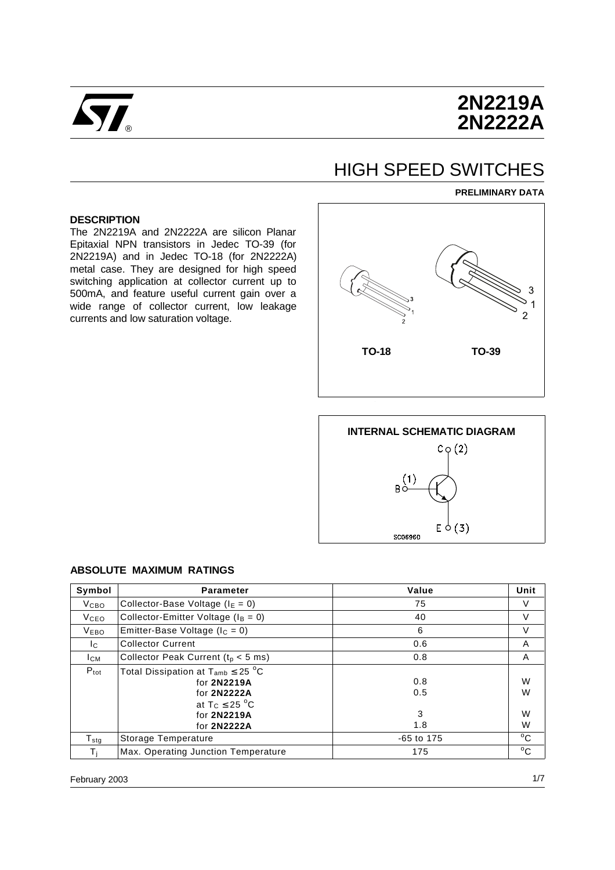

# **2N2219A 2N2222A**

# HIGH SPEED SWITCHES

#### **PRELIMINARY DATA**

#### **DESCRIPTION**

The 2N2219A and 2N2222A are silicon Planar Epitaxial NPN transistors in Jedec TO-39 (for 2N2219A) and in Jedec TO-18 (for 2N2222A) metal case. They are designed for high speed switching application at collector current up to 500mA, and feature useful current gain over a wide range of collector current, low leakage currents and low saturation voltage.





| Symbol              | <b>Parameter</b>                                                                                                                    | Value                  | Unit             |
|---------------------|-------------------------------------------------------------------------------------------------------------------------------------|------------------------|------------------|
| <b>V</b> сво        | Collector-Base Voltage ( $IE = 0$ )                                                                                                 | 75                     | V                |
| <b>V</b> ceo        | Collector-Emitter Voltage ( $I_B = 0$ )                                                                                             | 40                     | V                |
| <b>VEBO</b>         | Emitter-Base Voltage ( $I_C = 0$ )                                                                                                  | 6                      | $\vee$           |
| Ic.                 | <b>Collector Current</b>                                                                                                            | 0.6                    | A                |
| <b>ICM</b>          | Collector Peak Current ( $t0 < 5$ ms)                                                                                               | 0.8                    | A                |
| $P_{\text{tot}}$    | Total Dissipation at $T_{amb} \leq 25 \degree C$<br>for 2N2219A<br>for 2N2222A<br>at $T_C \leq 25$ °C<br>for 2N2219A<br>for 2N2222A | 0.8<br>0.5<br>3<br>1.8 | W<br>W<br>W<br>W |
| ${\sf T}_{\sf stg}$ | Storage Temperature                                                                                                                 | $-65$ to 175           | $^{\circ}$ C     |
| Ti                  | Max. Operating Junction Temperature                                                                                                 | 175                    | $^{\circ}$ C     |

#### **ABSOLUTE MAXIMUM RATINGS**

February 2003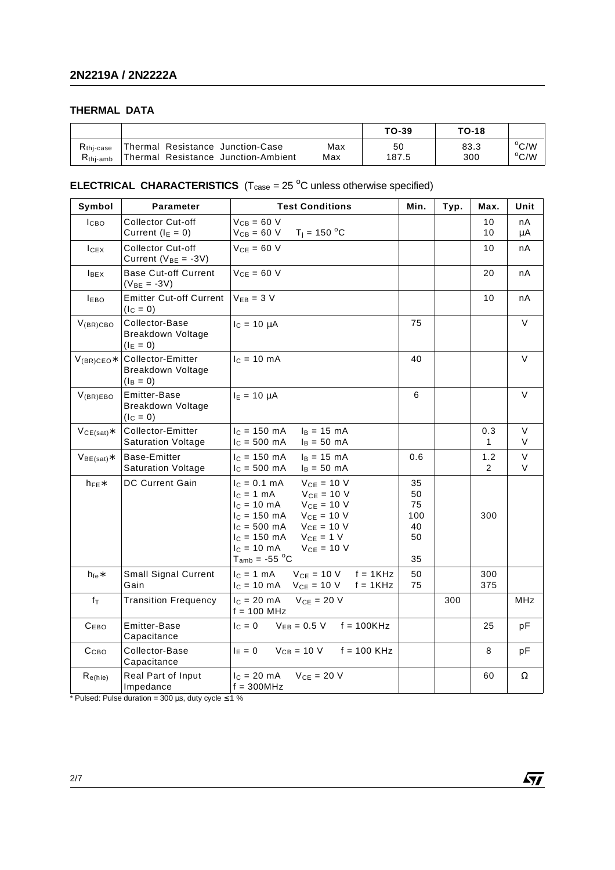### **THERMAL DATA**

|                       |                                     |     | TO-39 | <b>TO-18</b> |                |
|-----------------------|-------------------------------------|-----|-------|--------------|----------------|
| $R_{\text{thi-case}}$ | Thermal Resistance Junction-Case    | Max | 50    | 83.3         | $^{\circ}$ C/W |
| $Rthi-amb$            | Thermal Resistance Junction-Ambient | Max | 187.5 | 300          | $^{\circ}$ C/W |

### **ELECTRICAL CHARACTERISTICS**  $(T_{\text{case}} = 25 \text{ °C}$  unless otherwise specified)

| Symbol           | <b>Parameter</b>                                       | <b>Test Conditions</b>                                                                                                                                                                                                                                                                              | Min.                                    | Typ. | Max.               | Unit     |
|------------------|--------------------------------------------------------|-----------------------------------------------------------------------------------------------------------------------------------------------------------------------------------------------------------------------------------------------------------------------------------------------------|-----------------------------------------|------|--------------------|----------|
| ICBO             | <b>Collector Cut-off</b><br>Current $(I_E = 0)$        | $V_{CB} = 60 V$<br>$T_i = 150 °C$<br>$V_{CB} = 60 V$                                                                                                                                                                                                                                                |                                         |      | 10<br>10           | nA<br>μA |
| I <sub>CEX</sub> | <b>Collector Cut-off</b><br>Current ( $V_{BE} = -3V$ ) | $V_{CE} = 60 V$                                                                                                                                                                                                                                                                                     |                                         |      | 10                 | nA       |
| <b>IBEX</b>      | <b>Base Cut-off Current</b><br>$(V_{BE} = -3V)$        | $VCE = 60 V$                                                                                                                                                                                                                                                                                        |                                         |      | 20                 | nA       |
| <b>IEBO</b>      | <b>Emitter Cut-off Current</b><br>$(IC = 0)$           | $V_{EB} = 3 V$                                                                                                                                                                                                                                                                                      |                                         |      | 10                 | nA       |
| $V_{(BR)CBO}$    | Collector-Base<br>Breakdown Voltage<br>$(I_E = 0)$     | $I_c = 10 \mu A$                                                                                                                                                                                                                                                                                    | 75                                      |      |                    | $\vee$   |
| $V_{(BR)CEO*}$   | Collector-Emitter<br>Breakdown Voltage<br>$(I_B = 0)$  | $IC = 10 mA$                                                                                                                                                                                                                                                                                        | 40                                      |      |                    | V        |
| $V_{(BR)EBO}$    | Emitter-Base<br>Breakdown Voltage<br>$(IC = 0)$        | $I_E = 10 \mu A$                                                                                                                                                                                                                                                                                    | 6                                       |      |                    | V        |
| $VCE(sat)$ *     | Collector-Emitter<br><b>Saturation Voltage</b>         | $c = 150$ mA<br>$I_B = 15$ mA<br>$c = 500$ mA<br>$I_B = 50$ mA                                                                                                                                                                                                                                      |                                         |      | 0.3<br>$\mathbf 1$ | V<br>V   |
| $VBE(sat)*$      | Base-Emitter<br><b>Saturation Voltage</b>              | $lc = 150$ mA<br>$I_B = 15 \text{ mA}$<br>$I_C = 500$ mA<br>$I_B = 50$ mA                                                                                                                                                                                                                           | 0.6                                     |      | 1.2<br>2           | V<br>V   |
| $h_{FE}$         | DC Current Gain                                        | $VCE = 10 V$<br>$I_c = 0.1$ mA<br>$V_{CE}$ = 10 V<br>$I_C = 1$ mA<br>$IC = 10 mA$<br>$V_{CE} = 10 V$<br>$V_{CE} = 10 V$<br>$c = 150$ mA<br>$I_c = 500 \text{ mA}$<br>$V_{CE}$ = 10 V<br>$I_c = 150 \text{ mA}$<br>$V_{CE} = 1 V$<br>$IC = 10 mA$<br>$V_{CE} = 10 V$<br>$T_{amb}$ = -55 $^{\circ}$ C | 35<br>50<br>75<br>100<br>40<br>50<br>35 |      | 300                |          |
| $h_{fe}$ *       | Small Signal Current<br>Gain                           | $V_{CE}$ = 10 V<br>$f = 1$ KHz<br>$c = 1$ mA<br>$V_{CE} = 10 V$<br>$f = 1KHz$<br>$l_c = 10$ mA                                                                                                                                                                                                      | 50<br>75                                |      | 300<br>375         |          |
| $f_T$            | <b>Transition Frequency</b>                            | $V_{CE}$ = 20 V<br>$IC = 20 mA$<br>$f = 100$ MHz                                                                                                                                                                                                                                                    |                                         | 300  |                    | MHz      |
| $C_{EBO}$        | Emitter-Base<br>Capacitance                            | $I_C = 0$<br>$V_{EB} = 0.5 V$ f = 100KHz                                                                                                                                                                                                                                                            |                                         |      | 25                 | рF       |
| Ссво             | Collector-Base<br>Capacitance                          | $V_{CB} = 10 V$<br>$f = 100$ KHz<br>$I_E = 0$                                                                                                                                                                                                                                                       |                                         |      | 8                  | рF       |
| $R_{e(hie)}$     | Real Part of Input<br>Impedance                        | $IC = 20 mA$<br>$V_{CE} = 20 V$<br>$f = 300 MHz$                                                                                                                                                                                                                                                    |                                         |      | 60                 | Ω        |

 $\sqrt{M}$ 

\* Pulsed: Pulse duration = 300  $\mu$ s, duty cycle  $\leq$  1 %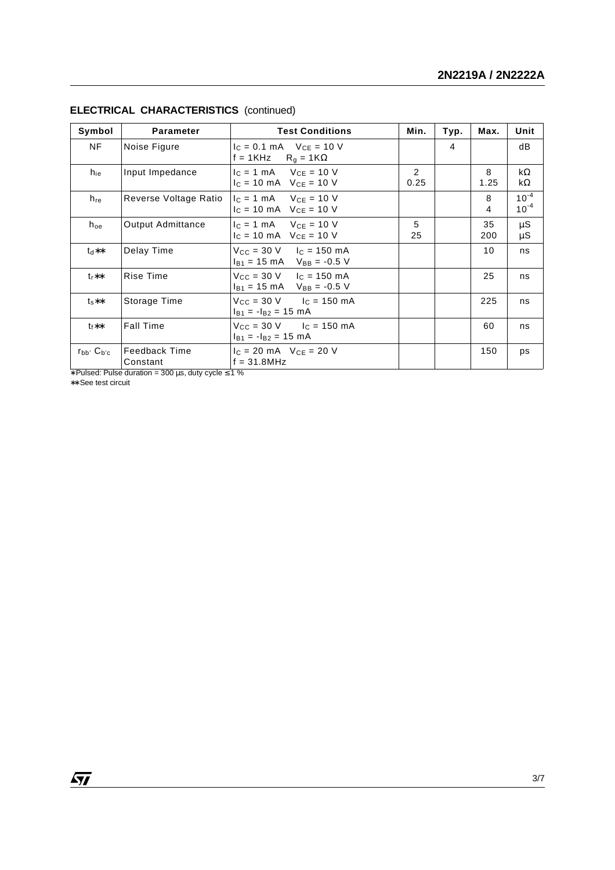| Symbol            | <b>Parameter</b>                 | <b>Test Conditions</b>                                                                               | Min.      | Typ. | Max.      | Unit                   |
|-------------------|----------------------------------|------------------------------------------------------------------------------------------------------|-----------|------|-----------|------------------------|
| NF                | Noise Figure                     | $I_C = 0.1$ mA $V_{CE} = 10$ V<br>f = 1KHz $R_g = 1K\Omega$                                          |           | 4    |           | dB                     |
| h <sub>ie</sub>   | Input Impedance                  | $I_C = 1$ mA $V_{CE} = 10$ V<br>$I_C = 10 \text{ mA}$ V <sub>CE</sub> = 10 V                         | 2<br>0.25 |      | 8<br>1.25 | $k\Omega$<br>$k\Omega$ |
| $h_{re}$          | Reverse Voltage Ratio            | $I_C = 1$ mA $V_{CE} = 10$ V<br>$I_C = 10 \text{ mA}$ V <sub>CF</sub> = 10 V                         |           |      | 8<br>4    | $10^{-4}$<br>$10^{-4}$ |
| $h_{oe}$          | Output Admittance                | $I_C = 1$ mA $V_{CE} = 10$ V<br>$I_C = 10 \text{ mA}$ V <sub>CE</sub> = 10 V                         | 5<br>25   |      | 35<br>200 | $\mu$ S<br>μS          |
| $**h1$            | Delay Time                       | $V_{\text{CC}} = 30 \text{ V}$ $I_{\text{C}} = 150 \text{ mA}$<br>$I_{B1}$ = 15 mA $V_{BB}$ = -0.5 V |           |      | 10        | ns                     |
| $t_{r}$ **        | Rise Time                        | $V_{\text{CC}} = 30 \text{ V}$ $I_{\text{C}} = 150 \text{ mA}$<br>$I_{B1}$ = 15 mA $V_{BB}$ = -0.5 V |           |      | 25        | ns                     |
| $t_{s}**$         | Storage Time                     | $V_{\text{CC}} = 30 \text{ V}$ $I_{\text{C}} = 150 \text{ mA}$<br>$I_{B1} = -I_{B2} = 15$ mA         |           |      | 225       | ns                     |
| $t_f**$           | <b>Fall Time</b>                 | $V_{\text{CC}} = 30 \text{ V}$ $I_{\text{C}} = 150 \text{ mA}$<br>$I_{B1} = -I_{B2} = 15$ mA         |           |      | 60        | ns                     |
| $r_{bb'} C_{b'c}$ | <b>Feedback Time</b><br>Constant | $I_c = 20 \text{ mA}$ $V_{CE} = 20 \text{ V}$<br>$f = 31.8 MHz$                                      |           |      | 150       | ps                     |

## **ELECTRICAL CHARACTERISTICS** (continued)

∗ Pulsed: Pulse duration = 300 µs, duty cycle ≤ 1 %

∗∗ See test circuit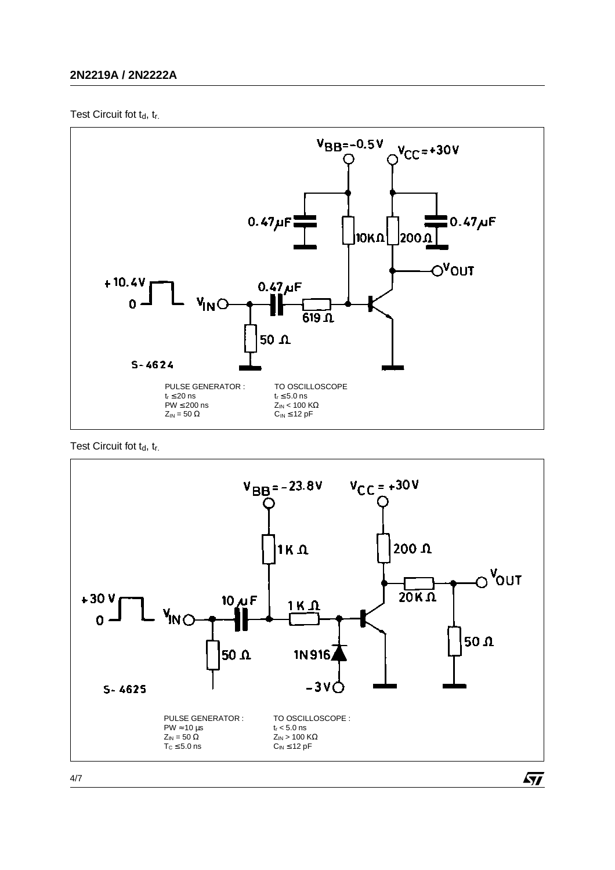## **2N2219A / 2N2222A**

Test Circuit fot  $t_d$ ,  $t_r$ .







4/7

 $\sqrt{5}$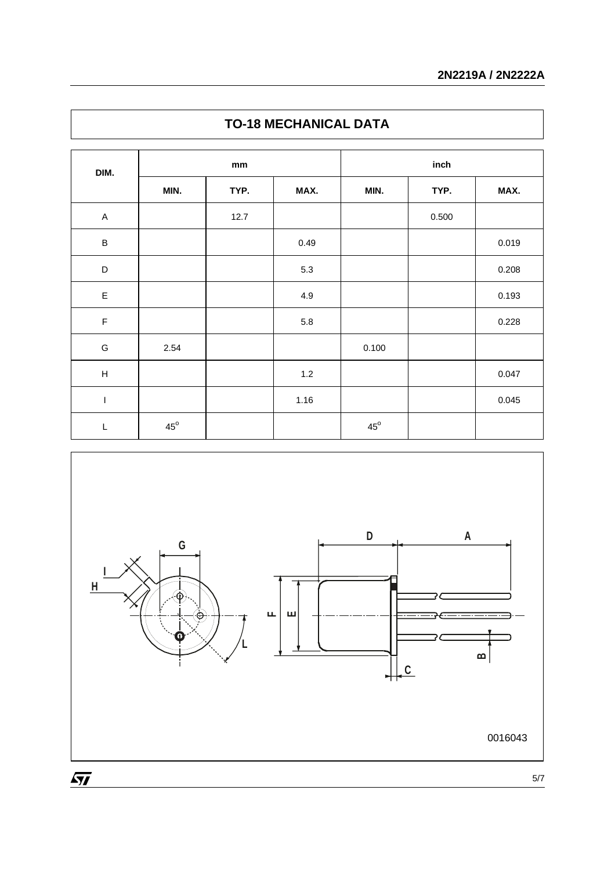| DIM.                      | mm           |      |       | inch         |       |       |  |
|---------------------------|--------------|------|-------|--------------|-------|-------|--|
|                           | MIN.         | TYP. | MAX.  | MIN.         | TYP.  | MAX.  |  |
| $\mathsf A$               |              | 12.7 |       |              | 0.500 |       |  |
| $\sf B$                   |              |      | 0.49  |              |       | 0.019 |  |
| $\mathsf D$               |              |      | 5.3   |              |       | 0.208 |  |
| $\mathsf E$               |              |      | 4.9   |              |       | 0.193 |  |
| $\mathsf F$               |              |      | 5.8   |              |       | 0.228 |  |
| G                         | 2.54         |      |       | 0.100        |       |       |  |
| $\boldsymbol{\mathsf{H}}$ |              |      | $1.2$ |              |       | 0.047 |  |
| $\mathsf I$               |              |      | 1.16  |              |       | 0.045 |  |
| L                         | $45^{\circ}$ |      |       | $45^{\circ}$ |       |       |  |



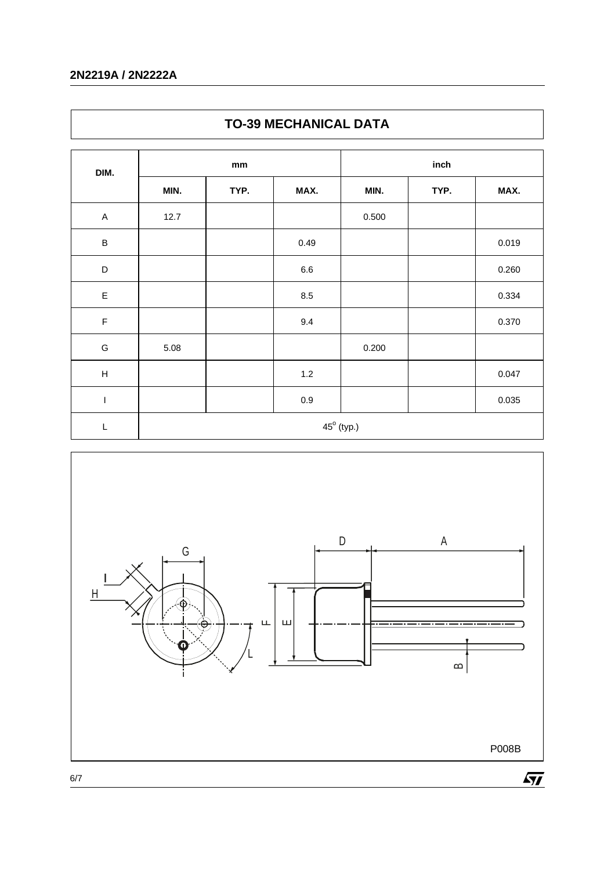## **2N2219A / 2N2222A**

| DIM.                      | $\mathop{\text{mm}}\nolimits$ |      |                     | inch  |      |       |  |
|---------------------------|-------------------------------|------|---------------------|-------|------|-------|--|
|                           | MIN.                          | TYP. | MAX.                | MIN.  | TYP. | MAX.  |  |
| $\mathsf A$               | 12.7                          |      |                     | 0.500 |      |       |  |
| $\sf B$                   |                               |      | 0.49                |       |      | 0.019 |  |
| D                         |                               |      | $6.6\,$             |       |      | 0.260 |  |
| $\mathsf E$               |                               |      | $8.5\,$             |       |      | 0.334 |  |
| $\mathsf F$               |                               |      | 9.4                 |       |      | 0.370 |  |
| ${\mathsf G}$             | 5.08                          |      |                     | 0.200 |      |       |  |
| $\boldsymbol{\mathsf{H}}$ |                               |      | $1.2$               |       |      | 0.047 |  |
| $\mathsf I$               |                               |      | $0.9\,$             |       |      | 0.035 |  |
| L                         |                               |      | $45^{\circ}$ (typ.) |       |      |       |  |





6/7